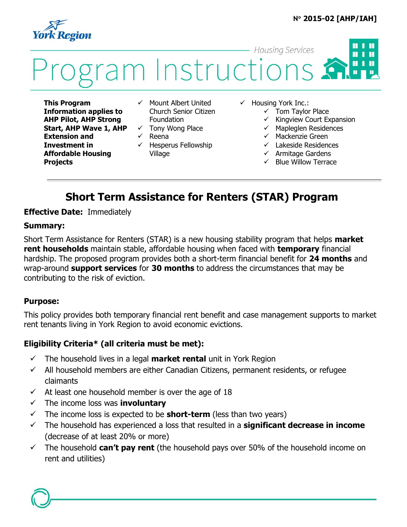### **N 2015-02 [AHP/IAH]**

1 H



#### **Housing Services**  $\blacksquare$ П i Instructions **H** 1 H

**This Program Information applies to AHP Pilot, AHP Strong Start, AHP Wave 1, AHP Extension and Investment in Affordable Housing Projects**

- $\checkmark$  Mount Albert United Church Senior Citizen Foundation
- $\checkmark$  Tony Wong Place  $\checkmark$  Reena
- $\checkmark$  Hesperus Fellowship Village
- $\checkmark$  Housing York Inc.:
	- $\checkmark$  Tom Taylor Place
	- $\checkmark$  Kingview Court Expansion
	- $\checkmark$  Mapleglen Residences
	- $\checkmark$  Mackenzie Green
	- $\checkmark$  Lakeside Residences
	- $\checkmark$  Armitage Gardens
	- Blue Willow Terrace

# **Short Term Assistance for Renters (STAR) Program**

#### **Effective Date:** Immediately

#### **Summary:**

Short Term Assistance for Renters (STAR) is a new housing stability program that helps **market rent households** maintain stable, affordable housing when faced with **temporary** financial hardship. The proposed program provides both a short-term financial benefit for **24 months** and wrap-around **support services** for **30 months** to address the circumstances that may be contributing to the risk of eviction.

#### **Purpose:**

This policy provides both temporary financial rent benefit and case management supports to market rent tenants living in York Region to avoid economic evictions.

### **Eligibility Criteria\* (all criteria must be met):**

- $\checkmark$  The household lives in a legal **market rental** unit in York Region
- $\checkmark$  All household members are either Canadian Citizens, permanent residents, or refugee claimants
- $\checkmark$  At least one household member is over the age of 18
- $\checkmark$  The income loss was **involuntary**
- $\checkmark$  The income loss is expected to be **short-term** (less than two years)
- The household has experienced a loss that resulted in a **significant decrease in income**  (decrease of at least 20% or more)
- $\checkmark$  The household **can't pay rent** (the household pays over 50% of the household income on rent and utilities)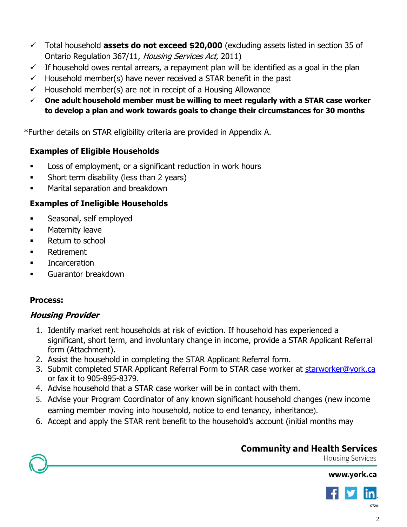- Total household **assets do not exceed \$20,000** (excluding assets listed in section 35 of Ontario Regulation 367/11, Housing Services Act, 2011)
- $\checkmark$  If household owes rental arrears, a repayment plan will be identified as a goal in the plan
- $\checkmark$  Household member(s) have never received a STAR benefit in the past
- $\checkmark$  Household member(s) are not in receipt of a Housing Allowance
- **One adult household member must be willing to meet regularly with a STAR case worker to develop a plan and work towards goals to change their circumstances for 30 months**

\*Further details on STAR eligibility criteria are provided in Appendix A.

## **Examples of Eligible Households**

- **Loss of employment, or a significant reduction in work hours**
- Short term disability (less than 2 years)
- **EXEC** Marital separation and breakdown

## **Examples of Ineligible Households**

- Seasonal, self employed
- **EXECUTE:** Maternity leave
- Return to school
- Retirement
- **Incarceration**
- Guarantor breakdown

### **Process:**

## **Housing Provider**

- 1. Identify market rent households at risk of eviction. If household has experienced a significant, short term, and involuntary change in income, provide a STAR Applicant Referral form (Attachment).
- 2. Assist the household in completing the STAR Applicant Referral form.
- 3. Submit completed STAR Applicant Referral Form to STAR case worker at [starworker@york.ca](mailto:starworker@york.ca) or fax it to 905-895-8379.
- 4. Advise household that a STAR case worker will be in contact with them.
- 5. Advise your Program Coordinator of any known significant household changes (new income earning member moving into household, notice to end tenancy, inheritance).
- 6. Accept and apply the STAR rent benefit to the household's account (initial months may

# **Community and Health Services**

**Housing Services** 



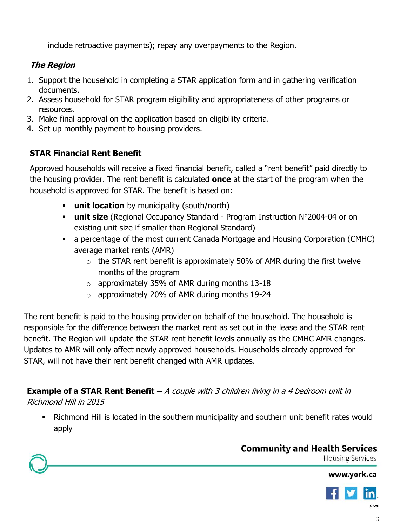include retroactive payments); repay any overpayments to the Region.

# **The Region**

- 1. Support the household in completing a STAR application form and in gathering verification documents.
- 2. Assess household for STAR program eligibility and appropriateness of other programs or resources.
- 3. Make final approval on the application based on eligibility criteria.
- 4. Set up monthly payment to housing providers.

# **STAR Financial Rent Benefit**

Approved households will receive a fixed financial benefit, called a "rent benefit" paid directly to the housing provider. The rent benefit is calculated **once** at the start of the program when the household is approved for STAR. The benefit is based on:

- **unit location** by municipality (south/north)
- **unit size** (Regional Occupancy Standard Program Instruction N°2004-04 or on existing unit size if smaller than Regional Standard)
- a percentage of the most current Canada Mortgage and Housing Corporation (CMHC) average market rents (AMR)
	- $\circ$  the STAR rent benefit is approximately 50% of AMR during the first twelve months of the program
	- o approximately 35% of AMR during months 13-18
	- o approximately 20% of AMR during months 19-24

The rent benefit is paid to the housing provider on behalf of the household. The household is responsible for the difference between the market rent as set out in the lease and the STAR rent benefit. The Region will update the STAR rent benefit levels annually as the CMHC AMR changes. Updates to AMR will only affect newly approved households. Households already approved for STAR, will not have their rent benefit changed with AMR updates.

**Example of a STAR Rent Benefit** – A couple with 3 children living in a 4 bedroom unit in Richmond Hill in 2015

 Richmond Hill is located in the southern municipality and southern unit benefit rates would apply

# **Community and Health Services**

**Housing Services**